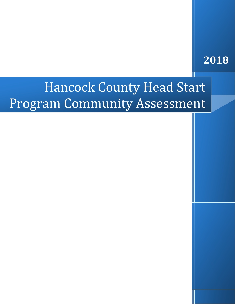## **2018**

# Hancock County Head Start Program Community Assessment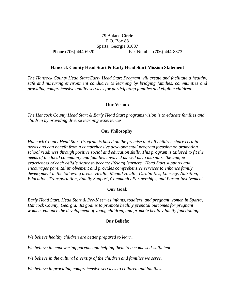#### 79 Boland Circle P.O. Box 88 Sparta, Georgia 31087 Phone (706)-444-6920 Fax Number (706)-444-8373

#### **Hancock County Head Start & Early Head Start Mission Statement**

*The Hancock County Head Start/Early Head Start Program will create and facilitate a healthy, safe and nurturing environment conducive to learning by bridging families, communities and providing comprehensive quality services for participating families and eligible children.*

#### **Our Vision:**

*The Hancock County Head Start & Early Head Start programs vision is to educate families and children by providing diverse learning experiences.* 

#### **Our Philosophy**:

*Hancock County Head Start Program is based on the premise that all children share certain needs and can benefit from a comprehensive developmental program focusing on promoting school readiness through positive social and education skills. This program is tailored to fit the needs of the local community and families involved as well as to maximize the unique experiences of each child's desire to become lifelong learners. Head Start supports and encourages parental involvement and provides comprehensive services to enhance family development in the following areas: Health, Mental Health, Disabilities, Literacy, Nutrition, Education, Transportation, Family Support, Community Partnerships, and Parent Involvement.*

#### **Our Goal:**

*Early Head Start, Head Start & Pre-K serves infants, toddlers, and pregnant women in Sparta, Hancock County, Georgia. Its goal is to promote healthy prenatal outcomes for pregnant women, enhance the development of young children, and promote healthy family functioning.*

#### **Our Beliefs:**

*We believe healthy children are better prepared to learn.* 

*We believe in empowering parents and helping them to become self-sufficient.* 

*We believe in the cultural diversity of the children and families we serve.* 

*We believe in providing comprehensive services to children and families.*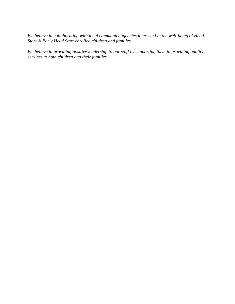*We believe in collaborating with local community agencies interested in the well-being of Head Start & Early Head Start enrolled children and families.*

*We believe in providing positive leadership to our staff by supporting them in providing quality services to both children and their families.*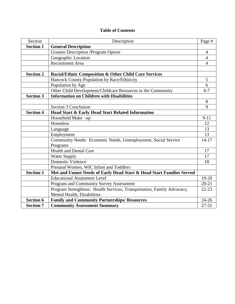#### **Table of Contents**

| Section          | Description                                                            | Page #         |
|------------------|------------------------------------------------------------------------|----------------|
| <b>Section 1</b> | <b>General Description</b>                                             |                |
|                  | <b>Grantee Description /Program Option</b>                             | $\overline{4}$ |
|                  | Geographic Location                                                    | 4              |
|                  | <b>Recruitment Area</b>                                                | $\overline{4}$ |
|                  |                                                                        |                |
| <b>Section 2</b> | Racial/Ethnic Composition & Other Child Care Services                  |                |
|                  | Hancock County Population by Race/Ethnicity                            | 5              |
|                  | Population by Age                                                      | 6              |
|                  | Other Child Development/Childcare Resources in the Community           | $6 - 7$        |
| <b>Section 3</b> | <b>Information on Children with Disabilities</b>                       |                |
|                  |                                                                        | 8              |
|                  | Section 3 Conclusion                                                   | 9              |
| <b>Section 4</b> | <b>Head Start &amp; Early Head Start Related Information</b>           |                |
|                  | Household Make -up                                                     | $9 - 11$       |
|                  | Homeless                                                               | 12             |
|                  | Language                                                               | 13             |
|                  | Employment                                                             | 13             |
|                  | Community Needs: Economic Needs, Unemployment, Social Service          | $14 - 17$      |
|                  | Programs                                                               |                |
|                  | <b>Health and Dental Care</b>                                          | 17             |
|                  | <b>Water Supply</b>                                                    | 17             |
|                  | <b>Domestic Violence</b>                                               | 18             |
|                  | Prenatal Women, WIC Infant and Toddlers                                |                |
| <b>Section 5</b> | Met and Unmet Needs of Early Head Start & Head Start Families Served   |                |
|                  | <b>Educational Attainment Level</b>                                    | 19-20          |
|                  | Program and Community Survey Assessment                                | $20 - 21$      |
|                  | Program Strengthens: Health Services, Transportation, Family Advocacy, | $22 - 23$      |
|                  | Mental Health, Disabilities                                            |                |
| <b>Section 6</b> | <b>Family and Community Partnerships/ Resources</b>                    | $24 - 26$      |
| <b>Section 7</b> | <b>Community Assessment Summary</b>                                    | $27 - 31$      |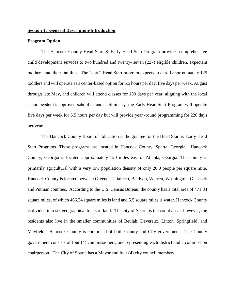#### **Section 1: General Description/Introduction**

#### **Program Option**

The Hancock County Head Start & Early Head Start Program provides comprehensive child development services to two hundred and twenty- seven (227) eligible children, expectant mothers, and their families. The "core" Head Start program expects to enroll approximately 125 toddlers and will operate as a center-based option for 6.5 hours per day, five days per week, August through late May, and children will attend classes for 180 days per year, aligning with the local school system's approved school calendar. Similarly, the Early Head Start Program will operate five days per week for 6.5 hours per day but will provide year -round programming for 220 days per year.

The Hancock County Board of Education is the grantee for the Head Start & Early Head Start Programs. These programs are located in Hancock County, Sparta, Georgia. Hancock County, Georgia is located approximately 120 miles east of Atlanta, Georgia. The county is primarily agricultural with a very low population density of only 20.0 people per square mile. Hancock County is located between Greene, Taliaferro, Baldwin, Warren, Washington, Glascock and Putman counties. According to the U.S. Census Bureau, the county has a total area of 471.84 square miles, of which 466.34 square miles is land and 5.5 square miles is water. Hancock County is divided into six geographical tracts of land. The city of Sparta is the county seat: however, the residents also live in the smaller communities of Beulah, Devereux, Linton, Springfield, and Mayfield. Hancock County is comprised of both County and City government. The County government consists of four (4) commissioners, one representing each district and a commission chairperson. The City of Sparta has a Mayor and four (4) city council members.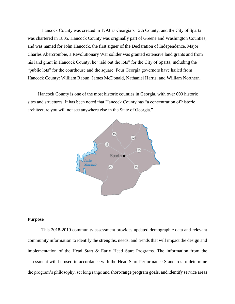Hancock County was created in 1793 as Georgia's 15th County, and the City of Sparta was chartered in 1805. Hancock County was originally part of Greene and Washington Counties, and was named for John Hancock, the first signer of the Declaration of Independence. Major Charles Abercrombie, a Revolutionary War solider was granted extensive land grants and from his land grant in Hancock County, he "laid out the lots" for the City of Sparta, including the "public lots" for the courthouse and the square. Four Georgia governors have hailed from Hancock County: William Rabun, James McDonald, Nathaniel Harris, and William Northern.

 Hancock County is one of the most historic counties in Georgia, with over 600 historic sites and structures. It has been noted that Hancock County has "a concentration of historic architecture you will not see anywhere else in the State of Georgia."



#### **Purpose**

This 2018-2019 community assessment provides updated demographic data and relevant community information to identify the strengths, needs, and trends that will impact the design and implementation of the Head Start & Early Head Start Programs. The information from the assessment will be used in accordance with the Head Start Performance Standards to determine the program's philosophy, set long range and short-range program goals, and identify service areas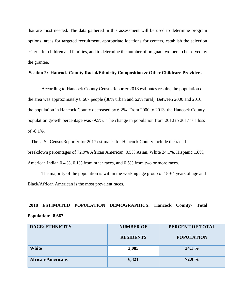that are most needed. The data gathered in this assessment will be used to determine program options, areas for targeted recruitment, appropriate locations for centers, establish the selection criteria for children and families, and to determine the number of pregnant women to be served by the grantee.

#### **Section 2: Hancock County Racial/Ethnicity Composition & Other Childcare Providers**

According to Hancock County CensusReporter 2018 estimates results, the population of the area was approximately 8,667 people (38% urban and 62% rural). Between 2000 and 2010, the population in Hancock County decreased by 6.2%. From 2000 to 2013, the Hancock County population growth percentage was -9.5%. The change in population from 2010 to 2017 is a loss of -8.1%.

 The U.S. CensusReporter for 2017 estimates for Hancock County include the racial breakdown percentages of 72.9% African American, 0.5% Asian, White 24.1%, Hispanic 1.8%, American Indian 0.4 %, 0.1% from other races, and 0.5% from two or more races.

The majority of the population is within the working age group of 18-64 years of age and Black/African American is the most prevalent races.

## **2018 ESTIMATED POPULATION DEMOGRAPHICS: Hancock County- Total Population: 8,667**

| <b>RACE/ETHNICITY</b>    | <b>NUMBER OF</b> | PERCENT OF TOTAL  |
|--------------------------|------------------|-------------------|
|                          | <b>RESIDENTS</b> | <b>POPULATION</b> |
| White                    | 2,085            | $24.1\%$          |
| <b>African-Americans</b> | 6,321            | 72.9 %            |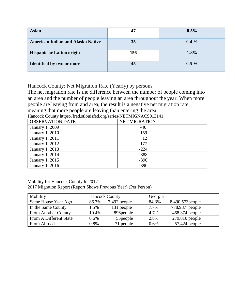| <b>Asian</b>                             | 47  | $0.5\%$ |
|------------------------------------------|-----|---------|
| <b>American Indian and Alaska Native</b> | 35  | $0.4\%$ |
| <b>Hispanic or Latino origin</b>         | 156 | 1.8%    |
| <b>Identified by two or more</b>         | 45  | $0.5\%$ |

Hancock County: Net Migration Rate (Yearly) by persons

The net migration rate is the difference between the number of people coming into an area and the number of people leaving an area throughout the year. When more people are leaving from and area, the result is a negative net migration rate, meaning that more people are leaving than entering the area.

Hancock County https://fred.stlouisfed.org/series/NETMIGNACS013141

| <b>OBSERVATION DATE</b> | <b>NET MIGRATION</b> |
|-------------------------|----------------------|
| January 1, 2009         | $-40$                |
| January 1, 2010         | 159                  |
| January 1, 2011         | 12                   |
| January 1, 2012         | 177                  |
| January 1, 2013         | $-224$               |
| January 1, 2014         | $-388$               |
| January 1, 2015         | $-390$               |
| January 1, 2016         | $-390$               |

Mobility for Hancock County In 2017 2017 Migration Report (Report Shows Previous Year) (Per Person)

| Mobility               | <b>Hancock County</b> |              | Georgia |                  |
|------------------------|-----------------------|--------------|---------|------------------|
| Same House Year Ago    | 86.7%                 | 7,492 people | 84.3%   | 8,490,573 people |
| In the Same County     | $1.5\%$               | 131 people   | 7.7%    | 778,937 people   |
| From Another County    | 10.4%                 | 896 people   | 4.7%    | 468,374 people   |
| From A Different State | $0.6\%$               | 55 people    | 2.8%    | 279,810 people   |
| From Abroad            | 0.8%                  | 71 people    | 0.6%    | $57,424$ people  |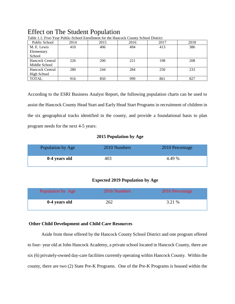### Effect on The Student Population

| Public School          | 2014 | 2015 | 2016 | 2017 | 2018 |
|------------------------|------|------|------|------|------|
| M. E. Lewis            | 410  | 406  | 494  | 413  | 386  |
| Elementary             |      |      |      |      |      |
| School                 |      |      |      |      |      |
| <b>Hancock Central</b> | 226  | 200  | 221  | 198  | 208  |
| Middle School          |      |      |      |      |      |
| <b>Hancock Central</b> | 280  | 244  | 284  | 250  | 233  |
| High School            |      |      |      |      |      |
| <b>TOTAL</b>           | 916  | 850  | 999  | 861  | 827  |

Table 1.1: Five-Year Public-School Enrollment for the Hancock County School District

According to the ESRI Business Analyst Report, the following population charts can be used to assist the Hancock County Head Start and Early Head Start Programs in recruitment of children in the six geographical tracks identified in the county, and provide a foundational basis to plan program needs for the next 4-5 years:

#### **2015 Population by Age**

| Population by Age | 2010 Numbers | 2010 Percentage |
|-------------------|--------------|-----------------|
| 0-4 years old     | 403          | 4.49 %          |

#### **Expected 2019 Population by Age**

| Population by Age | 2016 Numbers | 2016 Percentage |
|-------------------|--------------|-----------------|
| 0-4 years old     | 262          | 3.21 %          |

#### **Other Child Development and Child Care Resources**

Aside from those offered by the Hancock County School District and one program offered to four- year old at John Hancock Academy, a private school located in Hancock County, there are six (6) privately-owned day-care facilities currently operating within Hancock County. Within the county, there are two (2) State Pre-K Programs. One of the Pre-K Programs is housed within the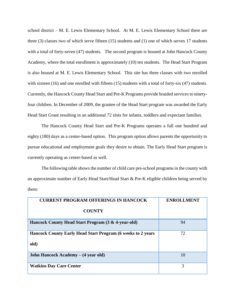school district – M. E. Lewis Elementary School. At M. E. Lewis Elementary School there are three (3) classes two of which serve fifteen (15) students and (1) one of which serves 17 students with a total of forty-seven (47) students. The second program is housed at John Hancock County Academy, where the total enrollment is approximately (10) ten students. The Head Start Program is also housed at M. E. Lewis Elementary School. This site has three classes with two enrolled with sixteen (16) and one enrolled with fifteen (15) students with a total of forty-six (47) students. Currently, the Hancock County Head Start and Pre-K Programs provide braided services to ninetyfour children. In December of 2009, the grantee of the Head Start program was awarded the Early Head Start Grant resulting in an additional 72 slots for infants, toddlers and expectant families.

The Hancock County Head Start and Pre-K Programs operates a full one hundred and eighty (180) days as a center-based option. This program option allows parents the opportunity to pursue educational and employment goals they desire to obtain. The Early Head Start program is currently operating as center-based as well.

The following table shows the number of child care pre-school programs in the county with an approximate number of Early Head Start/Head Start & Pre-K eligible children being served by them:

| <b>CURRENT PROGRAM OFFERINGS IN HANCOCK</b>                                 | <b>ENROLLMENT</b> |
|-----------------------------------------------------------------------------|-------------------|
| <b>COUNTY</b>                                                               |                   |
| Hancock County Head Start Program (3 & 4-year-old)                          | 94                |
| <b>Hancock County Early Head Start Program (6 weeks to 2 years)</b><br>old) | 72                |
| John Hancock Academy – (4 year old)                                         | 10                |
| <b>Watkins Day Care Center</b>                                              | 3                 |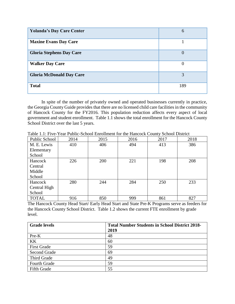| <b>Yolanda's Day Care Center</b> | 6        |
|----------------------------------|----------|
| <b>Maxine Evans Day Care</b>     |          |
| <b>Gloria Stephens Day Care</b>  | $\theta$ |
| <b>Walker Day Care</b>           | $\theta$ |
| <b>Gloria McDonald Day Care</b>  | 3        |
| <b>Total</b>                     | 189      |

In spite of the number of privately owned and operated businesses currently in practice, the Georgia County Guide provides that there are no licensed child care facilities in the community of Hancock County for the FY2016. This population reduction affects every aspect of local government and student enrollment. Table 1.1 shows the total enrollment for the Hancock County School District over the last 5 years.

| Public School | 2014 | 2015 | 2016 | 2017 | 2018 |
|---------------|------|------|------|------|------|
| M. E. Lewis   | 410  | 406  | 494  | 413  | 386  |
| Elementary    |      |      |      |      |      |
| School        |      |      |      |      |      |
| Hancock       | 226  | 200  | 221  | 198  | 208  |
| Central       |      |      |      |      |      |
| Middle        |      |      |      |      |      |
| School        |      |      |      |      |      |
| Hancock       | 280  | 244  | 284  | 250  | 233  |
| Central High  |      |      |      |      |      |
| School        |      |      |      |      |      |
| <b>TOTAL</b>  | 916  | 850  | 999  | 861  | 827  |

Table 1.1: Five-Year Public-School Enrollment for the Hancock County School District

The Hancock County Head Start/ Early Head Start and State Pre-K Programs serve as feeders for the Hancock County School District. Table 1.2 shows the current FTE enrollment by grade level.

| <b>Grade levels</b> | <b>Total Number Students in School District 2018-</b> |
|---------------------|-------------------------------------------------------|
|                     | 2019                                                  |
| Pre-K               | 48                                                    |
| <b>KK</b>           | 60                                                    |
| <b>First Grade</b>  | 59                                                    |
| Second Grade        | 69                                                    |
| Third Grade         | 49                                                    |
| Fourth Grade        | 59                                                    |
| <b>Fifth Grade</b>  | 55                                                    |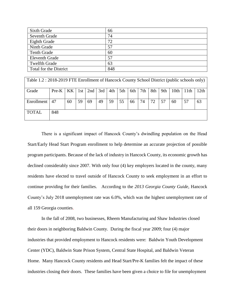| Sixth Grade            | 66  |
|------------------------|-----|
| Seventh Grade          | 74  |
| Eighth Grade           | 72  |
| Ninth Grade            | 57  |
| <b>Tenth Grade</b>     | 60  |
| <b>Eleventh Grade</b>  | 57  |
| <b>Twelfth Grade</b>   | 63  |
| Total for the District | 848 |

| Table 1.2 : 2018-2019 FTE Enrollment of Hancock County School District (public schools only) |         |     |       |     |     |     |     |     |     |     |     |      |      |      |
|----------------------------------------------------------------------------------------------|---------|-----|-------|-----|-----|-----|-----|-----|-----|-----|-----|------|------|------|
| Grade                                                                                        | $Pre-K$ | KK. | 1st l | 2nd | 3rd | 4th | 5th | 6th | 7th | 8th | 9th | 10th | 11th | 12th |
| Enrollment                                                                                   | 47      | 60  | 59    | 69  | 49  | 59  | 55  | 66  | 74  | 72  | 57  | 60   | 57   | 63   |
| <b>TOTAL</b>                                                                                 | 848     |     |       |     |     |     |     |     |     |     |     |      |      |      |

There is a significant impact of Hancock County's dwindling population on the Head Start/Early Head Start Program enrollment to help determine an accurate projection of possible program participants. Because of the lack of industry in Hancock County, its economic growth has declined considerably since 2007. With only four (4) key employers located in the county, many residents have elected to travel outside of Hancock County to seek employment in an effort to continue providing for their families. According to the *2013 Georgia County Guide*, Hancock County's July 2018 unemployment rate was 6.0%, which was the highest unemployment rate of all 159 Georgia counties.

In the fall of 2008, two businesses, Rheem Manufacturing and Shaw Industries closed their doors in neighboring Baldwin County. During the fiscal year 2009; four (4) major industries that provided employment to Hancock residents were: Baldwin Youth Development Center (YDC), Baldwin State Prison System, Central State Hospital, and Baldwin Veteran Home. Many Hancock County residents and Head Start/Pre-K families felt the impact of these industries closing their doors. These families have been given a choice to file for unemployment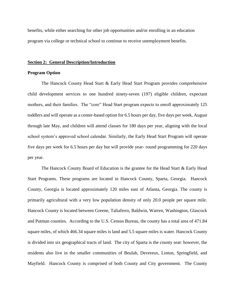benefits, while either searching for other job opportunities and/or enrolling in an education program via college or technical school to continue to receive unemployment benefits.

#### **Section 2: General Description/Introduction**

#### **Program Option**

The Hancock County Head Start & Early Head Start Program provides comprehensive child development services to one hundred ninety-seven (197) eligible children, expectant mothers, and their families. The "core" Head Start program expects to enroll approximately 125 toddlers and will operate as a center-based option for 6.5 hours per day, five days per week, August through late May, and children will attend classes for 180 days per year, aligning with the local school system's approved school calendar. Similarly, the Early Head Start Program will operate five days per week for 6.5 hours per day but will provide year- round programming for 220 days per year.

The Hancock County Board of Education is the grantee for the Head Start & Early Head Start Programs. These programs are located in Hancock County, Sparta, Georgia. Hancock County, Georgia is located approximately 120 miles east of Atlanta, Georgia. The county is primarily agricultural with a very low population density of only 20.0 people per square mile. Hancock County is located between Greene, Taliaferro, Baldwin, Warren, Washington, Glascock and Putman counties. According to the U.S. Census Bureau, the county has a total area of 471.84 square miles, of which 466.34 square miles is land and 5.5 square miles is water. Hancock County is divided into six geographical tracts of land. The city of Sparta is the county seat: however, the residents also live in the smaller communities of Beulah, Devereux, Linton, Springfield, and Mayfield. Hancock County is comprised of both County and City government. The County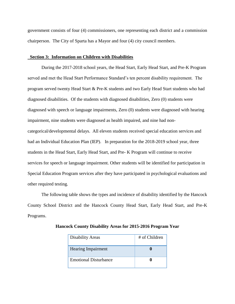government consists of four (4) commissioners, one representing each district and a commission chairperson. The City of Sparta has a Mayor and four (4) city council members.

#### **Section 3: Information on Children with Disabilities**

During the 2017-2018 school years, the Head Start, Early Head Start, and Pre-K Program served and met the Head Start Performance Standard's ten percent disability requirement. The program served twenty Head Start & Pre-K students and two Early Head Start students who had diagnosed disabilities. Of the students with diagnosed disabilities, Zero (0) students were diagnosed with speech or language impairments, Zero (0) students were diagnosed with hearing impairment, nine students were diagnosed as health impaired, and nine had noncategorical/developmental delays. All eleven students received special education services and had an Individual Education Plan (IEP). In preparation for the 2018-2019 school year, three students in the Head Start, Early Head Start, and Pre- K Program will continue to receive services for speech or language impairment. Other students will be identified for participation in Special Education Program services after they have participated in psychological evaluations and other required testing.

The following table shows the types and incidence of disability identified by the Hancock County School District and the Hancock County Head Start, Early Head Start, and Pre-K Programs.

| <b>Disability Areas</b>      | # of Children |
|------------------------------|---------------|
| <b>Hearing Impairment</b>    |               |
| <b>Emotional Disturbance</b> |               |

**Hancock County Disability Areas for 2015-2016 Program Year**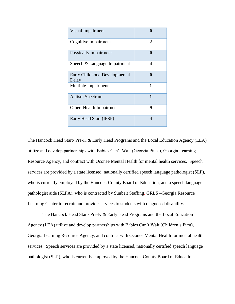| <b>Visual Impairment</b>               |   |
|----------------------------------------|---|
| Cognitive Impairment                   | 2 |
| <b>Physically Impairment</b>           | 0 |
| Speech & Language Impairment           | 4 |
| Early Childhood Developmental<br>Delay | 0 |
| <b>Multiple Impairments</b>            | 1 |
| <b>Autism Spectrum</b>                 | 1 |
| <b>Other: Health Impairment</b>        | 9 |
| Early Head Start (IFSP)                | 4 |

The Hancock Head Start/ Pre-K & Early Head Programs and the Local Education Agency (LEA) utilize and develop partnerships with Babies Can't Wait (Georgia Pines), Georgia Learning Resource Agency, and contract with Oconee Mental Health for mental health services. Speech services are provided by a state licensed, nationally certified speech language pathologist (SLP), who is currently employed by the Hancock County Board of Education, and a speech language pathologist aide (SLPA), who is contracted by Sunbelt Staffing. GRLS –Georgia Resource Learning Center to recruit and provide services to students with diagnosed disability.

The Hancock Head Start/ Pre-K & Early Head Programs and the Local Education Agency (LEA) utilize and develop partnerships with Babies Can't Wait (Children's First), Georgia Learning Resource Agency, and contract with Oconee Mental Health for mental health services. Speech services are provided by a state licensed, nationally certified speech language pathologist (SLP), who is currently employed by the Hancock County Board of Education.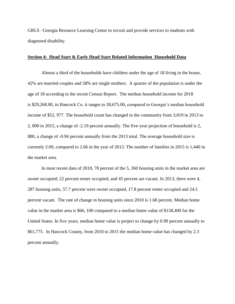GRLS –Georgia Resource Learning Center to recruit and provide services to students with diagnosed disability.

#### **Section 4: Head Start & Early Head Start Related Information Household Data**

Almost a third of the households have children under the age of 18 living in the house, 42% are married couples and 58% are single mothers. A quarter of the population is under the age of 18 according to the recent Census Report. The median household income for 2018 is \$29,268.00, in Hancock Co. it ranges to 30,675.00, compared to Georgia's median household income of \$52, 977. The household count has changed in the community from 3,019 in 2013 to 2, 800 in 2015, a change of -2.19 percent annually. The five-year projection of household is 2, 880, a change of -0.94 percent annually from the 2013 total. The average household size is currently 2.00, compared to 2.66 in the year of 2013. The number of families in 2015 is 1,440 in the market area.

In most recent data of 2018, 78 percent of the 5, 360 housing units in the market area are owner occupied; 22 percent renter occupied, and 45 percent are vacant. In 2013, there were 4, 287 housing units, 57.7 percent were owner occupied, 17.8 percent renter occupied and 24.5 percent vacant. The rate of change in housing units since 2010 is 1.68 percent. Median home value in the market area is \$66, 100 compared to a median home value of \$158,400 for the United States. In five years, median home value is project to change by 0.99 percent annually to \$61,775. In Hancock County, from 2010 to 2015 the median home value has changed by 2.3 percent annually.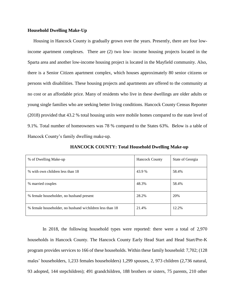#### **Household Dwelling Make-Up**

 Housing in Hancock County is gradually grown over the years. Presently, there are four lowincome apartment complexes. There are (2) two low- income housing projects located in the Sparta area and another low-income housing project is located in the Mayfield community. Also, there is a Senior Citizen apartment complex, which houses approximately 80 senior citizens or persons with disabilities. These housing projects and apartments are offered to the community at no cost or an affordable price. Many of residents who live in these dwellings are older adults or young single families who are seeking better living conditions. Hancock County Census Reporter (2018) provided that 43.2 % total housing units were mobile homes compared to the state level of 9.1%. Total number of homeowners was 78 % compared to the States 63%. Below is a table of Hancock County's family dwelling make-up.

| % of Dwelling Make-up                                    | <b>Hancock County</b> | State of Georgia |
|----------------------------------------------------------|-----------------------|------------------|
| % with own children less than 18                         | 43.9 %                | 58.4%            |
| % married couples                                        | 48.3%                 | 58.4%            |
| % female householder, no husband present                 | 28.2%                 | 20%              |
| % female householder, no husband w/children less than 18 | 21.4%                 | 12.2%            |

**HANCOCK COUNTY: Total Household Dwelling Make-up** 

In 2018, the following household types were reported: there were a total of 2,970 households in Hancock County. The Hancock County Early Head Start and Head Start/Pre-K program provides services to 166 of these households. Within these family household: 7,702; (128 males' householders, 1,233 females householders) 1,299 spouses, 2, 973 children (2,736 natural, 93 adopted, 144 stepchildren); 491 grandchildren, 188 brothers or sisters, 75 parents, 210 other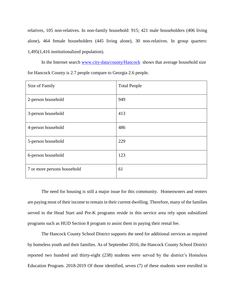relatives, 105 non-relatives. In non-family household: 915; 421 male householders (406 living alone), 464 female householders (445 living alone), 30 non-relatives. In group quarters: 1,495(1,416 institutionalized population).

In the Internet search [www.city-data/county/Hancock](http://www.city-data/county/Hancock) shows that average household size for Hancock County is 2.7 people compare to Georgia 2.6 people.

| Size of Family              | <b>Total People</b> |
|-----------------------------|---------------------|
| 2-person household          | 949                 |
| 3-person household          | 413                 |
| 4-person household          | 486                 |
| 5-person household          | 229                 |
| 6-person household          | 123                 |
| 7 or more persons household | 61                  |

The need for housing is still a major issue for this community. Homeowners and renters are paying most of their income to remain in their current dwelling. Therefore, many of the families served in the Head Start and Pre-K programs reside in this service area rely upon subsidized programs such as HUD Section 8 program to assist them in paying their rental fee.

The Hancock County School District supports the need for additional services as required by homeless youth and their families. As of September 2016, the Hancock County School District reported two hundred and thirty-eight (238) students were served by the district's Homeless Education Program. 2018-2019 Of those identified, seven (7) of these students were enrolled in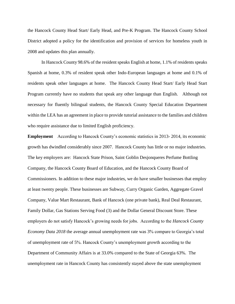the Hancock County Head Start/ Early Head, and Pre-K Program. The Hancock County School District adopted a policy for the identification and provision of services for homeless youth in 2008 and updates this plan annually.

In Hancock County 98.6% of the resident speaks English at home, 1.1% of residents speaks Spanish at home, 0.3% of resident speak other Indo-European languages at home and 0.1% of residents speak other languages at home. The Hancock County Head Start/ Early Head Start Program currently have no students that speak any other language than English. Although not necessary for fluently bilingual students, the Hancock County Special Education Department within the LEA has an agreement in place to provide tutorial assistance to the families and children who require assistance due to limited English proficiency.

**Employment** According to Hancock County's economic statistics in 2013- 2014, its economic growth has dwindled considerably since 2007. Hancock County has little or no major industries. The key employers are: Hancock State Prison, Saint Goblin Desjonqueres Perfume Bottling Company, the Hancock County Board of Education, and the Hancock County Board of Commissioners. In addition to these major industries, we do have smaller businesses that employ at least twenty people. These businesses are Subway, Curry Organic Garden, Aggregate Gravel Company, Value Mart Restaurant, Bank of Hancock (one private bank), Real Deal Restaurant, Family Dollar, Gas Stations Serving Food (3) and the Dollar General Discount Store. These employers do not satisfy Hancock's growing needs for jobs. According to the *Hancock County Economy Data 2018* the average annual unemployment rate was 3% compare to Georgia's total of unemployment rate of 5%. Hancock County's unemployment growth according to the Department of Community Affairs is at 33.0% compared to the State of Georgia 63%. The unemployment rate in Hancock County has consistently stayed above the state unemployment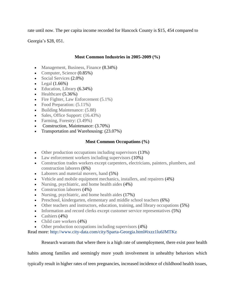rate until now. The per capita income recorded for Hancock County is \$15, 454 compared to

Georgia's \$28, 051.

#### **Most Common Industries in 2005-2009 (%)**

- Management, Business, Finance (8.34%)
- Computer, Science (0.85%)
- Social Services (2.0%)
- Legal  $(1.66\%)$
- Education, Library (6.34%)
- Healthcare (5.36%)
- Fire Fighter, Law Enforcement (5.1%)
- Food Preparation:  $(5.11\%)$
- Building Maintenance: (5.88)
- Sales, Office Support:  $(16.43%)$
- Farming, Forestry:  $(3.49\%)$
- Construction, Maintenance: (3.70%)
- Transportation and Warehousing:  $(23.07%)$

#### **Most Common Occupations (%)**

- Other production occupations including supervisors  $(13%)$
- Law enforcement workers including supervisors (10%)
- Construction trades workers except carpenters, electricians, painters, plumbers, and construction laborers (6%)
- Laborers and material movers, hand  $(5\%)$
- Vehicle and mobile equipment mechanics, installers, and repairers (4%)
- Nursing, psychiatric, and home health aides (4%)
- Construction laborers (4%)
- Nursing, psychiatric, and home health aides (17%)
- Preschool, kindergarten, elementary and middle school teachers (6%)
- Other teachers and instructors, education, training, and library occupations (5%)
- Information and record clerks except customer service representatives (5%)
- Cashiers  $(4\%)$
- Child care workers  $(4\%)$
- Other production occupations including supervisors  $(4%)$

Read more:<http://www.city-data.com/city/Sparta-Georgia.html#ixzz1lu6JMTKz>

#### Research warrants that where there is a high rate of unemployment, there exist poor health

habits among families and seemingly more youth involvement in unhealthy behaviors which

typically result in higher rates of teen pregnancies, increased incidence of childhood health issues,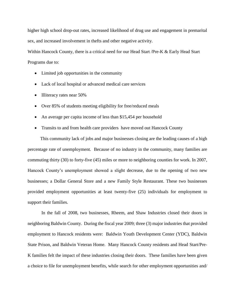higher high school drop-out rates, increased likelihood of drug use and engagement in premarital sex, and increased involvement in thefts and other negative activity.

Within Hancock County, there is a critical need for our Head Start /Pre-K & Early Head Start Programs due to:

- Limited job opportunities in the community
- Lack of local hospital or advanced medical care services
- Illiteracy rates near 50%
- Over 85% of students meeting eligibility for free/reduced meals
- An average per capita income of less than \$15,454 per household
- Transits to and from health care providers have moved out Hancock County

 This community lack of jobs and major businesses closing are the leading causes of a high percentage rate of unemployment. Because of no industry in the community, many families are commuting thirty (30) to forty-five (45) miles or more to neighboring counties for work. In 2007, Hancock County's unemployment showed a slight decrease, due to the opening of two new businesses; a Dollar General Store and a new Family Style Restaurant. These two businesses provided employment opportunities at least twenty-five (25) individuals for employment to support their families.

In the fall of 2008, two businesses, Rheem, and Shaw Industries closed their doors in neighboring Baldwin County. During the fiscal year 2009; three (3) major industries that provided employment to Hancock residents were: Baldwin Youth Development Center (YDC), Baldwin State Prison, and Baldwin Veteran Home. Many Hancock County residents and Head Start/Pre-K families felt the impact of these industries closing their doors. These families have been given a choice to file for unemployment benefits, while search for other employment opportunities and/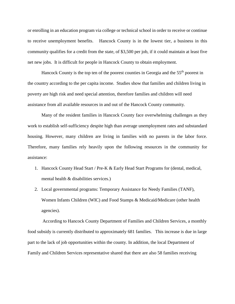or enrolling in an education program via college or technical school in order to receive or continue to receive unemployment benefits. Hancock County is in the lowest tier, a business in this community qualifies for a credit from the state, of \$3,500 per job, if it could maintain at least five net new jobs. It is difficult for people in Hancock County to obtain employment.

Hancock County is the top ten of the poorest counties in Georgia and the 55<sup>th</sup> poorest in the country according to the per capita income. Studies show that families and children living in poverty are high risk and need special attention, therefore families and children will need assistance from all available resources in and out of the Hancock County community.

Many of the resident families in Hancock County face overwhelming challenges as they work to establish self-sufficiency despite high than average unemployment rates and substandard housing. However, many children are living in families with no parents in the labor force. Therefore, many families rely heavily upon the following resources in the community for assistance:

- 1. Hancock County Head Start / Pre-K & Early Head Start Programs for (dental, medical, mental health & disabilities services.)
- 2. Local governmental programs: Temporary Assistance for Needy Families (TANF), Women Infants Children (WIC) and Food Stamps & Medicaid/Medicare (other health agencies).

According to Hancock County Department of Families and Children Services, a monthly food subsidy is currently distributed to approximately 681 families. This increase is due in large part to the lack of job opportunities within the county. In addition, the local Department of Family and Children Services representative shared that there are also 58 families receiving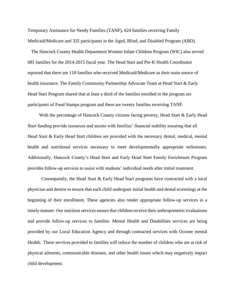Temporary Assistance for Needy Families (TANF), 624 families receiving Family Medicaid/Medicare and 335 participants in the Aged, Blind, and Disabled Program (ABD).

 The Hancock County Health Department Women Infant Children Program (WIC) also served 681 families for the 2014-2015 fiscal year. The Head Start and Pre-K Health Coordinator reported that there are 118 families who received Medicaid/Medicare as their main source of health insurance. The Family Community Partnership Advocate Team at Head Start & Early Head Start Program shared that at least a third of the families enrolled in the program are participants of Food Stamps program and there are twenty families receiving TANF.

With the percentage of Hancock County citizens facing poverty, Head Start & Early Head Start funding provide resources and assists with families' financial stability ensuring that all Head Start & Early Head Start children are provided with the necessary dental, medical, mental health and nutritional services necessary to meet developmentally appropriate milestones. Additionally, Hancock County's Head Start and Early Head Start Family Enrichment Program provides follow-up services to assist with students' individual needs after initial treatment.

Consequently, the Head Start & Early Head Start programs have contracted with a local physician and dentist to ensure that each child undergoes initial health and dental screenings at the beginning of their enrollment. These agencies also render appropriate follow-up services in a timely manner. Our nutrition services ensure that children receive their anthropometric evaluations and provide follow-up services to families. Mental Health and Disabilities services are being provided by our Local Education Agency and through contracted services with Oconee mental Health. These services provided to families will reduce the number of children who are at risk of physical ailments, communicable diseases, and other health issues which may negatively impact child development.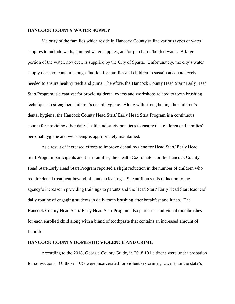#### **HANCOCK COUNTY WATER SUPPLY**

Majority of the families which reside in Hancock County utilize various types of water supplies to include wells, pumped water supplies, and/or purchased/bottled water. A large portion of the water, however, is supplied by the City of Sparta. Unfortunately, the city's water supply does not contain enough fluoride for families and children to sustain adequate levels needed to ensure healthy teeth and gums. Therefore, the Hancock County Head Start/ Early Head Start Program is a catalyst for providing dental exams and workshops related to tooth brushing techniques to strengthen children's dental hygiene. Along with strengthening the children's dental hygiene, the Hancock County Head Start/ Early Head Start Program is a continuous source for providing other daily health and safety practices to ensure that children and families' personal hygiene and well-being is appropriately maintained.

As a result of increased efforts to improve dental hygiene for Head Start/ Early Head Start Program participants and their families, the Health Coordinator for the Hancock County Head Start/Early Head Start Program reported a slight reduction in the number of children who require dental treatment beyond bi-annual cleanings. She attributes this reduction to the agency's increase in providing trainings to parents and the Head Start/ Early Head Start teachers' daily routine of engaging students in daily tooth brushing after breakfast and lunch. The Hancock County Head Start/ Early Head Start Program also purchases individual toothbrushes for each enrolled child along with a brand of toothpaste that contains an increased amount of fluoride.

#### **HANCOCK COUNTY DOMESTIC VIOLENCE AND CRIME**

According to the 2018, Georgia County Guide, in 2018 101 citizens were under probation for convictions. Of those, 10% were incarcerated for violent/sex crimes, lower than the state's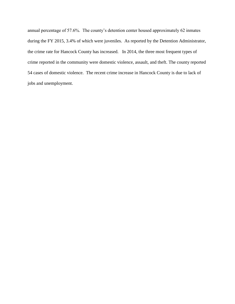annual percentage of 57.6%. The county's detention center housed approximately 62 inmates during the FY 2015, 3.4% of which were juveniles. As reported by the Detention Administrator, the crime rate for Hancock County has increased. In 2014, the three most frequent types of crime reported in the community were domestic violence, assault, and theft. The county reported 54 cases of domestic violence. The recent crime increase in Hancock County is due to lack of jobs and unemployment.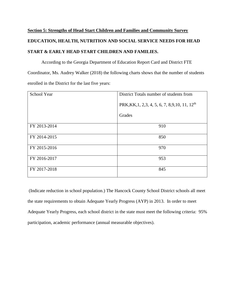## **Section 5: Strengths of Head Start Children and Families and Community Survey EDUCATION, HEALTH, NUTRITION AND SOCIAL SERVICE NEEDS FOR HEAD START & EARLY HEAD START CHILDREN AND FAMILIES.**

According to the Georgia Department of Education Report Card and District FTE Coordinator, Ms. Audrey Walker (2018) the following charts shows that the number of students enrolled in the District for the last five years:

| School Year  | District Totals number of students from                      |
|--------------|--------------------------------------------------------------|
|              | PRK, KK, 1, 2, 3, 4, 5, 6, 7, 8, 9, 10, 11, 12 <sup>th</sup> |
|              | Grades                                                       |
| FY 2013-2014 | 910                                                          |
| FY 2014-2015 | 850                                                          |
| FY 2015-2016 | 970                                                          |
| FY 2016-2017 | 953                                                          |
| FY 2017-2018 | 845                                                          |

(Indicate reduction in school population.) The Hancock County School District schools all meet the state requirements to obtain Adequate Yearly Progress (AYP) in 2013. In order to meet Adequate Yearly Progress, each school district in the state must meet the following criteria: 95% participation, academic performance (annual measurable objectives).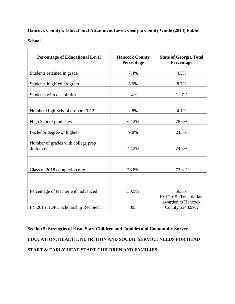#### **Hancock County's Educational Attainment Level: Georgia County Guide (2013) Public**

**School**

| <b>Percentage of Educational Level</b>         | <b>Hancock County</b><br>Percentage | <b>State of Georgia Total</b><br>Percentage                        |
|------------------------------------------------|-------------------------------------|--------------------------------------------------------------------|
| Students retained in grade                     | 7.4%                                | 4.3%                                                               |
| Students in gifted program                     | 3.9%                                | 8.7%                                                               |
| Students with disabilities                     | 14%                                 | 11.7%                                                              |
|                                                |                                     |                                                                    |
| Number High School dropout 9-12                | 2.8%                                | 4.1%                                                               |
| <b>High School graduates</b>                   | 62.2%                               | 78.6%                                                              |
| Bachelor degree or higher                      | 9.8%                                | 24.3%                                                              |
| Number of grades with college prep<br>diplomas | 42.2%                               | 74.5%                                                              |
| Class of 2018 completion rate                  | 78.8%                               | 72.3%                                                              |
|                                                |                                     |                                                                    |
| Percentage of teacher with advanced            | 50.5%                               | 56.3%                                                              |
| FY 2015 HOPE Scholarship Recipient             | 393                                 | FYI 2015- Total dollars<br>awarded to Hancock<br>County \$348,991. |

**Section 5: Strengths of Head Start Children and Families and Community Survey EDUCATION, HEALTH, NUTRITION AND SOCIAL SERVICE NEEDS FOR HEAD START & EARLY HEAD START CHILDREN AND FAMILIES.**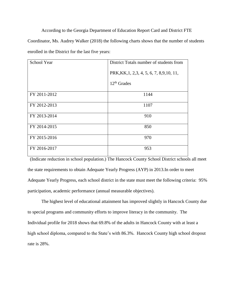According to the Georgia Department of Education Report Card and District FTE

Coordinator, Ms. Audrey Walker (2018) the following charts shows that the number of students enrolled in the District for the last five years:

| School Year  | District Totals number of students from     |
|--------------|---------------------------------------------|
|              | PRK, KK, 1, 2, 3, 4, 5, 6, 7, 8, 9, 10, 11, |
|              | $12th$ Grades                               |
| FY 2011-2012 | 1144                                        |
| FY 2012-2013 | 1107                                        |
| FY 2013-2014 | 910                                         |
| FY 2014-2015 | 850                                         |
| FY 2015-2016 | 970                                         |
| FY 2016-2017 | 953                                         |

 (Indicate reduction in school population.) The Hancock County School District schools all meet the state requirements to obtain Adequate Yearly Progress (AYP) in 2013.In order to meet Adequate Yearly Progress, each school district in the state must meet the following criteria: 95% participation, academic performance (annual measurable objectives).

The highest level of educational attainment has improved slightly in Hancock County due to special programs and community efforts to improve literacy in the community. The Individual profile for 2018 shows that 69.8% of the adults in Hancock County with at least a high school diploma, compared to the State's with 86.3%. Hancock County high school dropout rate is 28%.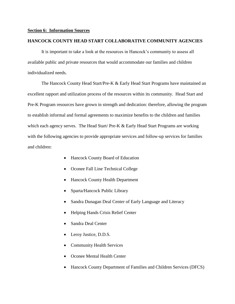#### **Section 6: Information Sources**

#### **HANCOCK COUNTY HEAD START COLLABORATIVE COMMUNITY AGENCIES**

It is important to take a look at the resources in Hancock's community to assess all available public and private resources that would accommodate our families and children individualized needs.

The Hancock County Head Start/Pre-K & Early Head Start Programs have maintained an excellent rapport and utilization process of the resources within its community. Head Start and Pre-K Program resources have grown in strength and dedication: therefore, allowing the program to establish informal and formal agreements to maximize benefits to the children and families which each agency serves. The Head Start/ Pre-K  $\&$  Early Head Start Programs are working with the following agencies to provide appropriate services and follow-up services for families and children:

- Hancock County Board of Education
- Oconee Fall Line Technical College
- Hancock County Health Department
- Sparta/Hancock Public Library
- Sandra Dunagan Deal Center of Early Language and Literacy
- Helping Hands Crisis Relief Center
- Sandra Deal Center
- Leroy Justice, D.D.S.
- Community Health Services
- Oconee Mental Health Center
- Hancock County Department of Families and Children Services (DFCS)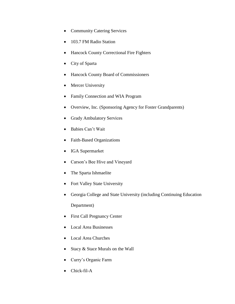- Community Catering Services
- 103.7 FM Radio Station
- Hancock County Correctional Fire Fighters
- City of Sparta
- Hancock County Board of Commissioners
- Mercer University
- Family Connection and WIA Program
- Overview, Inc. (Sponsoring Agency for Foster Grandparents)
- Grady Ambulatory Services
- Babies Can't Wait
- Faith-Based Organizations
- IGA Supermarket
- Carson's Bee Hive and Vineyard
- The Sparta Ishmaelite
- Fort Valley State University
- Georgia College and State University (including Continuing Education

Department)

- First Call Pregnancy Center
- Local Area Businesses
- Local Area Churches
- Stacy & Stace Murals on the Wall
- Curry's Organic Farm
- Chick-fil-A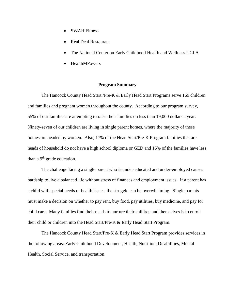- SWAH Fitness
- Real Deal Restaurant
- The National Center on Early Childhood Health and Wellness UCLA
- HealthMPowers

#### **Program Summary**

The Hancock County Head Start /Pre-K & Early Head Start Programs serve 169 children and families and pregnant women throughout the county. According to our program survey, 55% of our families are attempting to raise their families on less than 19,000 dollars a year. Ninety-seven of our children are living in single parent homes, where the majority of these homes are headed by women. Also, 17% of the Head Start/Pre-K Program families that are heads of household do not have a high school diploma or GED and 16% of the families have less than a 9<sup>th</sup> grade education.

The challenge facing a single parent who is under-educated and under-employed causes hardship to live a balanced life without stress of finances and employment issues. If a parent has a child with special needs or health issues, the struggle can be overwhelming. Single parents must make a decision on whether to pay rent, buy food, pay utilities, buy medicine, and pay for child care. Many families find their needs to nurture their children and themselves is to enroll their child or children into the Head Start/Pre-K & Early Head Start Program.

The Hancock County Head Start/Pre-K & Early Head Start Program provides services in the following areas: Early Childhood Development, Health, Nutrition, Disabilities, Mental Health, Social Service, and transportation.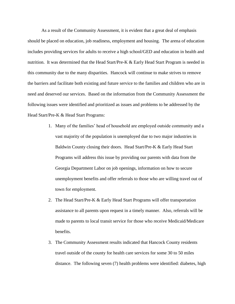As a result of the Community Assessment, it is evident that a great deal of emphasis should be placed on education, job readiness, employment and housing. The arena of education includes providing services for adults to receive a high school/GED and education in health and nutrition. It was determined that the Head Start/Pre-K & Early Head Start Program is needed in this community due to the many disparities. Hancock will continue to make strives to remove the barriers and facilitate both existing and future service to the families and children who are in need and deserved our services. Based on the information from the Community Assessment the following issues were identified and prioritized as issues and problems to be addressed by the Head Start/Pre-K & Head Start Programs:

- 1. Many of the families' head of household are employed outside community and a vast majority of the population is unemployed due to two major industries in Baldwin County closing their doors. Head Start/Pre-K & Early Head Start Programs will address this issue by providing our parents with data from the Georgia Department Labor on job openings, information on how to secure unemployment benefits and offer referrals to those who are willing travel out of town for employment.
- 2. The Head Start/Pre-K & Early Head Start Programs will offer transportation assistance to all parents upon request in a timely manner. Also, referrals will be made to parents to local transit service for those who receive Medicaid/Medicare benefits.
- 3. The Community Assessment results indicated that Hancock County residents travel outside of the county for health care services for some 30 to 50 miles distance. The following seven (7) health problems were identified: diabetes, high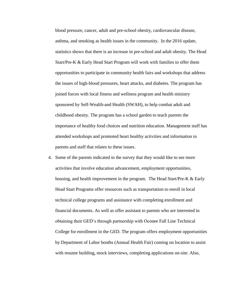blood pressure, cancer, adult and pre-school obesity, cardiovascular disease, asthma, and smoking as health issues in the community. In the 2016 update, statistics shows that there is an increase in pre-school and adult obesity. The Head Start/Pre-K & Early Head Start Program will work with families to offer them opportunities to participate in community health fairs and workshops that address the issues of high-blood pressures, heart attacks, and diabetes. The program has joined forces with local fitness and wellness program and health ministry sponsored by Self-Wealth-and Health (SWAH), to help combat adult and childhood obesity. The program has a school garden to teach parents the importance of healthy food choices and nutrition education. Management staff has attended workshops and promoted heart healthy activities and information to parents and staff that relates to these issues.

4. Some of the parents indicated in the survey that they would like to see more activities that involve education advancement, employment opportunities, housing, and health improvement in the program. The Head Start/Pre-K & Early Head Start Programs offer resources such as transportation to enroll in local technical college programs and assistance with completing enrollment and financial documents. As well as offer assistant to parents who are interested in obtaining their GED's through partnership with Oconee Fall Line Technical College for enrollment in the GED. The program offers employment opportunities by Department of Labor booths (Annual Health Fair) coming on location to assist with resume building, mock interviews, completing applications on-site. Also,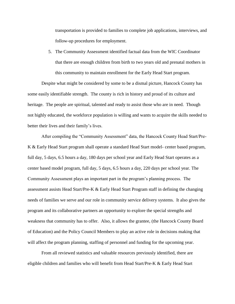transportation is provided to families to complete job applications, interviews, and follow-up procedures for employment.

5. The Community Assessment identified factual data from the WIC Coordinator that there are enough children from birth to two years old and prenatal mothers in this community to maintain enrollment for the Early Head Start program.

Despite what might be considered by some to be a dismal picture, Hancock County has some easily identifiable strength. The county is rich in history and proud of its culture and heritage. The people are spiritual, talented and ready to assist those who are in need. Though not highly educated, the workforce population is willing and wants to acquire the skills needed to better their lives and their family's lives.

After compiling the "Community Assessment" data, the Hancock County Head Start/Pre-K & Early Head Start program shall operate a standard Head Start model- center based program, full day, 5 days, 6.5 hours a day, 180 days per school year and Early Head Start operates as a center based model program, full day, 5 days, 6.5 hours a day, 220 days per school year. The Community Assessment plays an important part in the program's planning process. The assessment assists Head Start/Pre-K & Early Head Start Program staff in defining the changing needs of families we serve and our role in community service delivery systems. It also gives the program and its collaborative partners an opportunity to explore the special strengths and weakness that community has to offer. Also, it allows the grantee, (the Hancock County Board of Education) and the Policy Council Members to play an active role in decisions making that will affect the program planning, staffing of personnel and funding for the upcoming year.

From all reviewed statistics and valuable resources previously identified, there are eligible children and families who will benefit from Head Start/Pre-K & Early Head Start